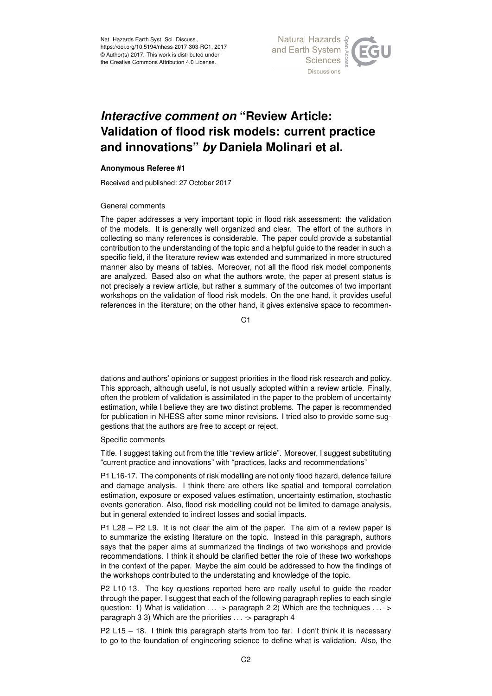

## *Interactive comment on* **"Review Article: Validation of flood risk models: current practice and innovations"** *by* **Daniela Molinari et al.**

## **Anonymous Referee #1**

Received and published: 27 October 2017

## General comments

The paper addresses a very important topic in flood risk assessment: the validation of the models. It is generally well organized and clear. The effort of the authors in collecting so many references is considerable. The paper could provide a substantial contribution to the understanding of the topic and a helpful guide to the reader in such a specific field, if the literature review was extended and summarized in more structured manner also by means of tables. Moreover, not all the flood risk model components are analyzed. Based also on what the authors wrote, the paper at present status is not precisely a review article, but rather a summary of the outcomes of two important workshops on the validation of flood risk models. On the one hand, it provides useful references in the literature; on the other hand, it gives extensive space to recommen-

C<sub>1</sub>

dations and authors' opinions or suggest priorities in the flood risk research and policy. This approach, although useful, is not usually adopted within a review article. Finally, often the problem of validation is assimilated in the paper to the problem of uncertainty estimation, while I believe they are two distinct problems. The paper is recommended for publication in NHESS after some minor revisions. I tried also to provide some suggestions that the authors are free to accept or reject.

## Specific comments

Title. I suggest taking out from the title "review article". Moreover, I suggest substituting "current practice and innovations" with "practices, lacks and recommendations"

P1 L16-17. The components of risk modelling are not only flood hazard, defence failure and damage analysis. I think there are others like spatial and temporal correlation estimation, exposure or exposed values estimation, uncertainty estimation, stochastic events generation. Also, flood risk modelling could not be limited to damage analysis, but in general extended to indirect losses and social impacts.

P1 L28 – P2 L9. It is not clear the aim of the paper. The aim of a review paper is to summarize the existing literature on the topic. Instead in this paragraph, authors says that the paper aims at summarized the findings of two workshops and provide recommendations. I think it should be clarified better the role of these two workshops in the context of the paper. Maybe the aim could be addressed to how the findings of the workshops contributed to the understating and knowledge of the topic.

P2 L10-13. The key questions reported here are really useful to guide the reader through the paper. I suggest that each of the following paragraph replies to each single question: 1) What is validation . . . -> paragraph 2 2) Which are the techniques . . . -> paragraph 3 3) Which are the priorities . . . -> paragraph 4

P2 L15 – 18. I think this paragraph starts from too far. I don't think it is necessary to go to the foundation of engineering science to define what is validation. Also, the